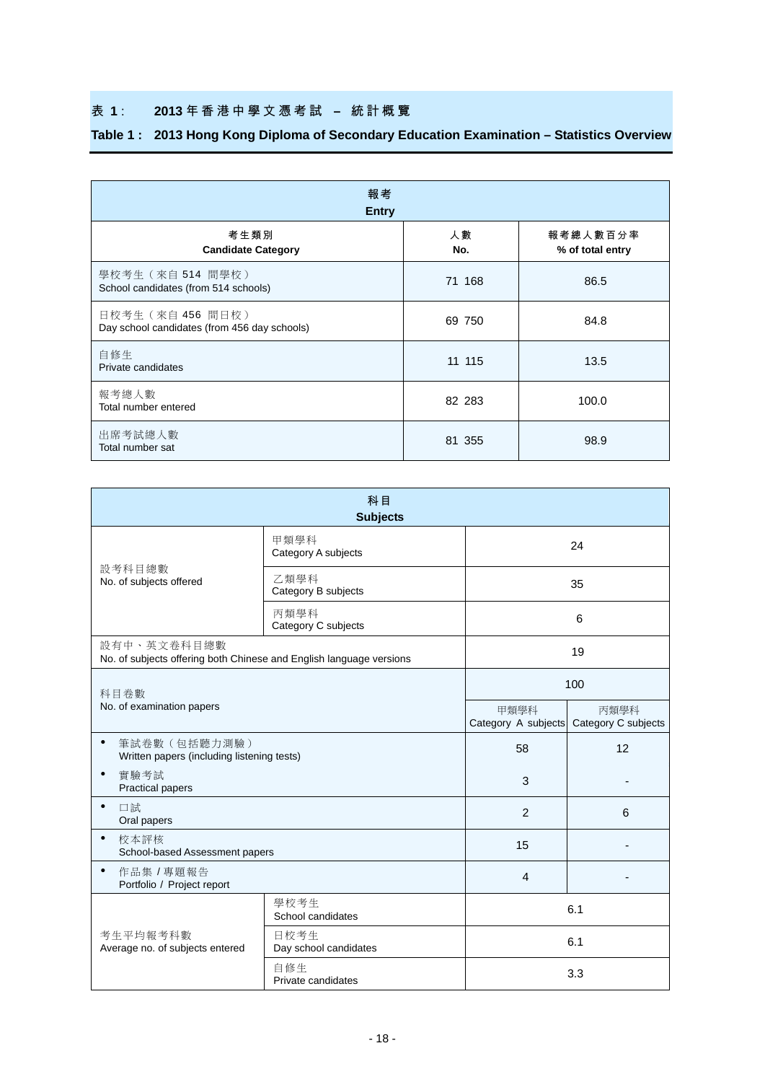## 表 **1** : **2013** 年香港中學文憑考試 **–** 統計概覽

| 報考<br><b>Entry</b>                                                |           |                              |  |  |  |  |  |  |  |
|-------------------------------------------------------------------|-----------|------------------------------|--|--|--|--|--|--|--|
| 考生類別<br><b>Candidate Category</b>                                 | 人數<br>No. | 報考總人數百分率<br>% of total entry |  |  |  |  |  |  |  |
| 學校考生 (來自 514 間學校)<br>School candidates (from 514 schools)         | 71 168    | 86.5                         |  |  |  |  |  |  |  |
| 日校考生 (來自 456 間日校)<br>Day school candidates (from 456 day schools) | 69 750    | 84.8                         |  |  |  |  |  |  |  |
| 自修生<br>Private candidates                                         | 11 115    | 13.5                         |  |  |  |  |  |  |  |
| 報考總人數<br>Total number entered                                     | 82 283    | 100.0                        |  |  |  |  |  |  |  |
| 出席考試總人數<br>Total number sat                                       | 81 355    | 98.9                         |  |  |  |  |  |  |  |

## **Table 1 : 2013 Hong Kong Diploma of Secondary Education Examination – Statistics Overview**

| 科目<br><b>Subjects</b>                                                              |                               |                             |                             |  |  |  |  |  |
|------------------------------------------------------------------------------------|-------------------------------|-----------------------------|-----------------------------|--|--|--|--|--|
|                                                                                    | 甲類學科<br>Category A subjects   | 24                          |                             |  |  |  |  |  |
| 設考科目總數<br>No. of subjects offered                                                  | 乙類學科<br>Category B subjects   |                             | 35                          |  |  |  |  |  |
|                                                                                    | 丙類學科<br>Category C subjects   |                             | 6                           |  |  |  |  |  |
| 設有中、英文卷科目總數<br>No. of subjects offering both Chinese and English language versions |                               | 19                          |                             |  |  |  |  |  |
| 科目卷數                                                                               |                               | 100                         |                             |  |  |  |  |  |
| No. of examination papers                                                          |                               | 甲類學科<br>Category A subjects | 丙類學科<br>Category C subjects |  |  |  |  |  |
| 筆試卷數(包括聽力測驗)<br>$\bullet$<br>Written papers (including listening tests)            |                               | 58                          | 12                          |  |  |  |  |  |
| $\bullet$<br>實驗考試<br><b>Practical papers</b>                                       |                               | 3                           |                             |  |  |  |  |  |
| $\bullet$<br>口試<br>Oral papers                                                     |                               | $\overline{2}$              | 6                           |  |  |  |  |  |
| $\bullet$<br>校本評核<br>School-based Assessment papers                                |                               | 15                          |                             |  |  |  |  |  |
| 作品集 / 專題報告<br>٠<br>Portfolio / Project report                                      |                               | $\overline{4}$              |                             |  |  |  |  |  |
|                                                                                    | 學校考生<br>School candidates     |                             | 6.1                         |  |  |  |  |  |
| 考生平均報考科數<br>Average no. of subjects entered                                        | 日校考生<br>Day school candidates | 6.1                         |                             |  |  |  |  |  |
|                                                                                    | 自修生<br>Private candidates     | 3.3                         |                             |  |  |  |  |  |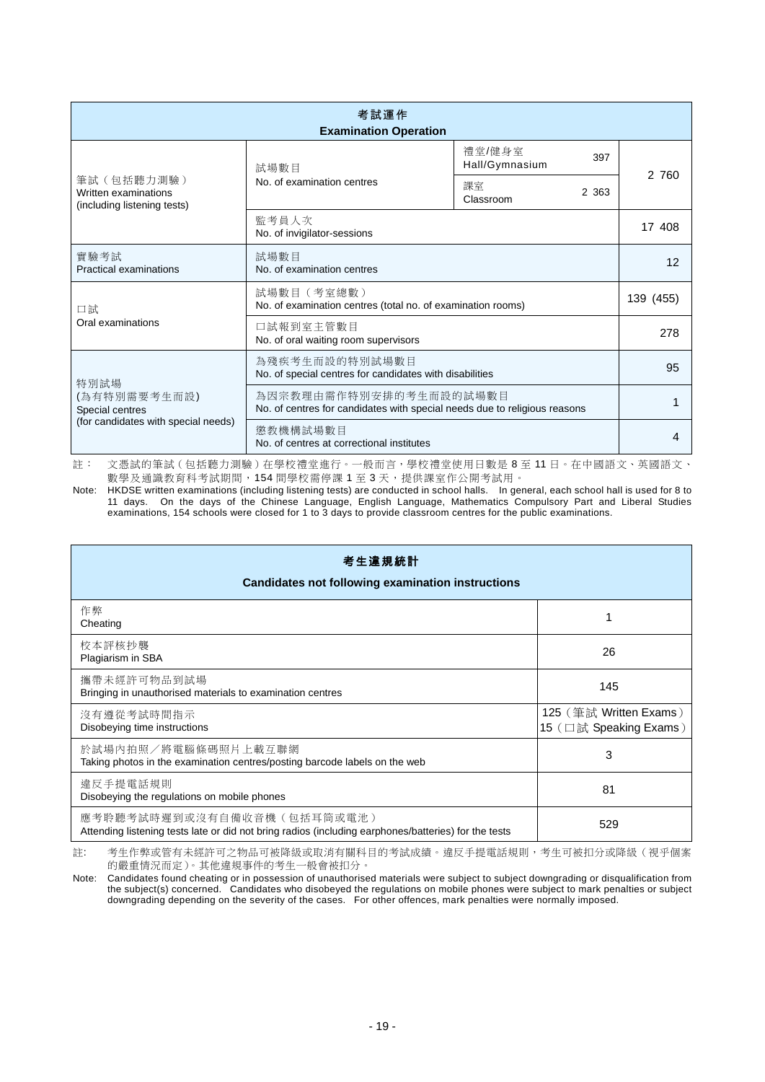| 考試運作<br><b>Examination Operation</b>                                   |                                                                                                     |                                 |       |  |  |  |  |  |  |  |
|------------------------------------------------------------------------|-----------------------------------------------------------------------------------------------------|---------------------------------|-------|--|--|--|--|--|--|--|
|                                                                        | 試場數目                                                                                                | 禮堂/健身室<br>397<br>Hall/Gymnasium | 2 760 |  |  |  |  |  |  |  |
| 筆試(包括聽力測驗)<br>Written examinations<br>(including listening tests)      | No. of examination centres                                                                          | 課室<br>2 3 6 3<br>Classroom      |       |  |  |  |  |  |  |  |
|                                                                        | 監考員人次<br>No. of invigilator-sessions                                                                |                                 |       |  |  |  |  |  |  |  |
| 實驗考試<br>Practical examinations                                         | 試場數目<br>No. of examination centres                                                                  | 12                              |       |  |  |  |  |  |  |  |
| 口試                                                                     | 試場數目 (考室總數)<br>No. of examination centres (total no. of examination rooms)                          | 139 (455)                       |       |  |  |  |  |  |  |  |
| Oral examinations                                                      | 口試報到室主管數目<br>No. of oral waiting room supervisors                                                   | 278                             |       |  |  |  |  |  |  |  |
| 特別試場                                                                   | 為殘疾考生而設的特別試場數目<br>No. of special centres for candidates with disabilities                           | 95                              |       |  |  |  |  |  |  |  |
| (為有特別需要考生而設)<br>Special centres<br>(for candidates with special needs) | 為因宗教理由需作特別安排的考生而設的試場數目<br>No. of centres for candidates with special needs due to religious reasons |                                 |       |  |  |  |  |  |  |  |
|                                                                        | 懲教機構試場數目<br>No. of centres at correctional institutes                                               | 4                               |       |  |  |  |  |  |  |  |

註: 文憑試的筆試(包括聽力測驗)在學校禮堂進行。一般而言,學校禮堂使用日數是 8 至 11 日。在中國語文、英國語文、 數學及通識教育科考試期間,154 間學校需停課 1 至 3 天,提供課室作公開考試用。

Note: HKDSE written examinations (including listening tests) are conducted in school halls. In general, each school hall is used for 8 to 11 days. On the days of the Chinese Language, English Language, Mathematics Compulsory Part and Liberal Studies examinations, 154 schools were closed for 1 to 3 days to provide classroom centres for the public examinations.

| 考生違規統計<br><b>Candidates not following examination instructions</b>                                                                 |                                                  |  |  |  |  |  |  |  |
|------------------------------------------------------------------------------------------------------------------------------------|--------------------------------------------------|--|--|--|--|--|--|--|
| 作弊<br>Cheating                                                                                                                     |                                                  |  |  |  |  |  |  |  |
| 校本評核抄襲<br>Plagiarism in SBA                                                                                                        | 26                                               |  |  |  |  |  |  |  |
| 攜帶未經許可物品到試場<br>Bringing in unauthorised materials to examination centres                                                           | 145                                              |  |  |  |  |  |  |  |
| 沒有遵從考試時間指示<br>Disobeying time instructions                                                                                         | 125 (筆試 Written Exams)<br>15 (口試 Speaking Exams) |  |  |  |  |  |  |  |
| 於試場內拍照/將電腦條碼照片上載互聯網<br>Taking photos in the examination centres/posting barcode labels on the web                                  | 3                                                |  |  |  |  |  |  |  |
| 違反手提電話規則<br>Disobeying the regulations on mobile phones                                                                            | 81                                               |  |  |  |  |  |  |  |
| 應考聆聽考試時遲到或沒有自備收音機(包括耳筒或電池)<br>Attending listening tests late or did not bring radios (including earphones/batteries) for the tests | 529                                              |  |  |  |  |  |  |  |

註: 考生作弊或管有未經許可之物品可被降級或取消有關科目的考試成績。違反手提電話規則,考生可被扣分或降級(視乎個案 的嚴重情況而定)。其他違規事件的考生一般會被扣分。

Note: Candidates found cheating or in possession of unauthorised materials were subject to subject downgrading or disqualification from the subject(s) concerned. Candidates who disobeyed the regulations on mobile phones were subject to mark penalties or subject downgrading depending on the severity of the cases. For other offences, mark penalties were normally imposed.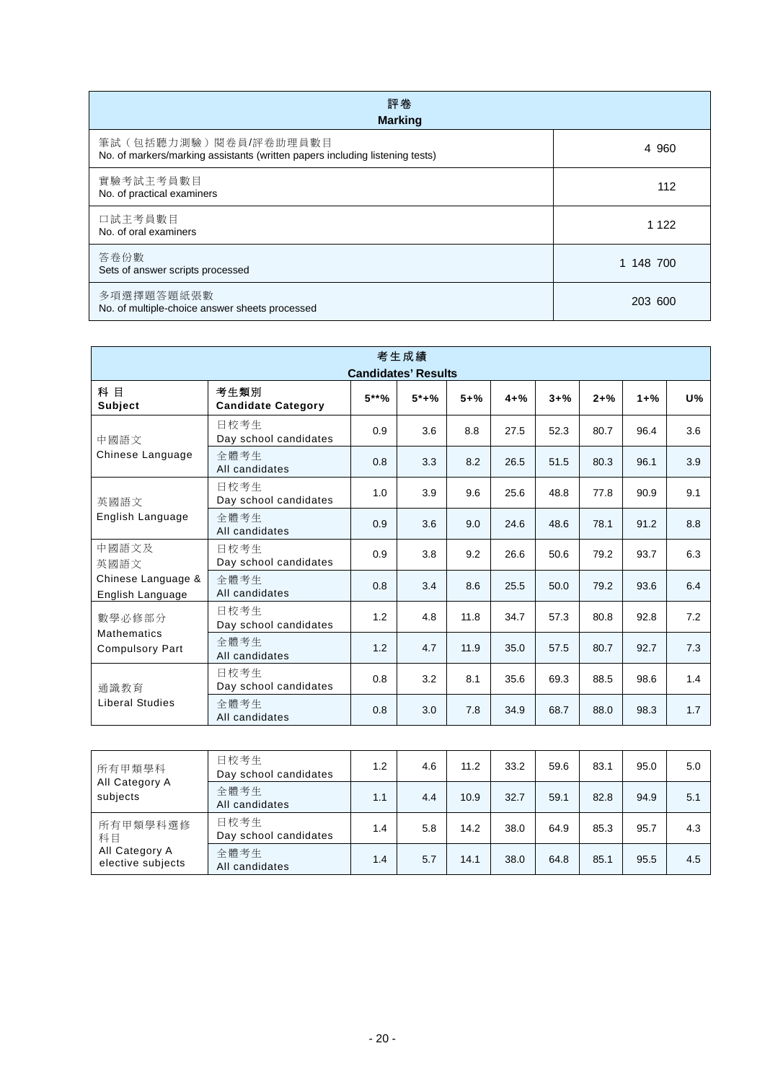| 評卷<br><b>Marking</b>                                                                                    |           |  |  |  |  |  |  |  |
|---------------------------------------------------------------------------------------------------------|-----------|--|--|--|--|--|--|--|
| 筆試 (包括聽力測驗) 閱卷員/評卷助理員數目<br>No. of markers/marking assistants (written papers including listening tests) | 4 960     |  |  |  |  |  |  |  |
| 實驗考試主考員數目<br>No. of practical examiners                                                                 | 112       |  |  |  |  |  |  |  |
| 口試主考員數目<br>No. of oral examiners                                                                        | 1 1 2 2   |  |  |  |  |  |  |  |
| 答卷份數<br>Sets of answer scripts processed                                                                | 1 148 700 |  |  |  |  |  |  |  |
| 多項選擇題答題紙張數<br>No. of multiple-choice answer sheets processed                                            | 203 600   |  |  |  |  |  |  |  |

| 考生成績<br><b>Candidates' Results</b>           |                                   |         |        |          |          |          |          |          |     |  |  |
|----------------------------------------------|-----------------------------------|---------|--------|----------|----------|----------|----------|----------|-----|--|--|
| 科 目<br><b>Subject</b>                        | 考生類別<br><b>Candidate Category</b> | $5***%$ | $5*+%$ | $5 + \%$ | $4 + \%$ | $3 + \%$ | $2 + \%$ | $1 + \%$ | U%  |  |  |
| 中國語文                                         | 日校考生<br>Day school candidates     | 0.9     | 3.6    | 8.8      | 27.5     | 52.3     | 80.7     | 96.4     | 3.6 |  |  |
| Chinese Language                             | 全體考生<br>All candidates            | 0.8     | 3.3    | 8.2      | 26.5     | 51.5     | 80.3     | 96.1     | 3.9 |  |  |
| 英國語文<br>English Language                     | 日校考生<br>Day school candidates     | 1.0     | 3.9    | 9.6      | 25.6     | 48.8     | 77.8     | 90.9     | 9.1 |  |  |
|                                              | 全體考生<br>All candidates            | 0.9     | 3.6    | 9.0      | 24.6     | 48.6     | 78.1     | 91.2     | 8.8 |  |  |
| 中國語文及<br>英國語文                                | 日校考生<br>Day school candidates     | 0.9     | 3.8    | 9.2      | 26.6     | 50.6     | 79.2     | 93.7     | 6.3 |  |  |
| Chinese Language &<br>English Language       | 全體考生<br>All candidates            | 0.8     | 3.4    | 8.6      | 25.5     | 50.0     | 79.2     | 93.6     | 6.4 |  |  |
| 數學必修部分                                       | 日校考生<br>Day school candidates     | 1.2     | 4.8    | 11.8     | 34.7     | 57.3     | 80.8     | 92.8     | 7.2 |  |  |
| <b>Mathematics</b><br><b>Compulsory Part</b> | 全體考生<br>All candidates            | 1.2     | 4.7    | 11.9     | 35.0     | 57.5     | 80.7     | 92.7     | 7.3 |  |  |
| 诵識教育                                         | 日校考生<br>Day school candidates     | 0.8     | 3.2    | 8.1      | 35.6     | 69.3     | 88.5     | 98.6     | 1.4 |  |  |
| <b>Liberal Studies</b>                       | 全體考生<br>All candidates            | 0.8     | 3.0    | 7.8      | 34.9     | 68.7     | 88.0     | 98.3     | 1.7 |  |  |

| 所有甲類學科<br>All Category A<br>subjects | 日校考生<br>Day school candidates | 1.2 | 4.6 | 11.2 | 33.2 | 59.6 | 83.1 | 95.0 | 5.0 |
|--------------------------------------|-------------------------------|-----|-----|------|------|------|------|------|-----|
|                                      | 全體考生<br>All candidates        | 1.1 | 4.4 | 10.9 | 32.7 | 59.1 | 82.8 | 94.9 | 5.1 |
| 所有甲類學科選修<br>科目                       | 日校考生<br>Day school candidates | 1.4 | 5.8 | 14.2 | 38.0 | 64.9 | 85.3 | 95.7 | 4.3 |
| All Category A<br>elective subjects  | 全體考生<br>All candidates        | 1.4 | 5.7 | 14.1 | 38.0 | 64.8 | 85.1 | 95.5 | 4.5 |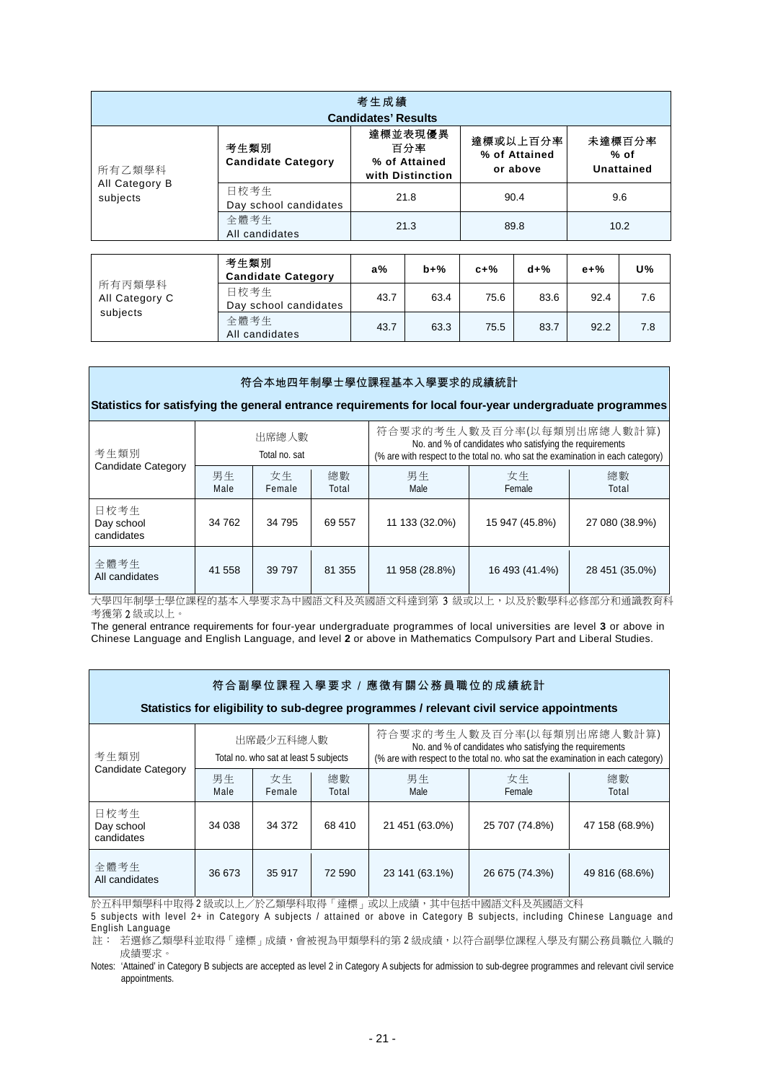| 考生成績<br><b>Candidates' Results</b> |                                   |                                                     |                                       |                                |  |  |  |  |  |  |
|------------------------------------|-----------------------------------|-----------------------------------------------------|---------------------------------------|--------------------------------|--|--|--|--|--|--|
| 所有乙類學科                             | 考生類別<br><b>Candidate Category</b> | 達標並表現優異<br>百分率<br>% of Attained<br>with Distinction | 達標或以上百分率<br>% of Attained<br>or above | 未達標百分率<br>$%$ of<br>Unattained |  |  |  |  |  |  |
| All Category B<br>subjects         | 日校考生<br>Day school candidates     | 21.8                                                | 90.4                                  | 9.6                            |  |  |  |  |  |  |
|                                    | 全體考生<br>All candidates            | 21.3                                                | 89.8                                  | 10.2                           |  |  |  |  |  |  |

| 所有丙類學科<br>All Category C | 考生類別<br><b>Candidate Category</b> | $a\%$ | $b+%$ | $c+%$ | $d+%$ | $e + %$ | U%  |
|--------------------------|-----------------------------------|-------|-------|-------|-------|---------|-----|
|                          | 日校考生<br>Day school candidates     | 43.7  | 63.4  | 75.6  | 83.6  | 92.4    | 7.6 |
| subjects                 | 全體考生<br>All candidates            | 43.7  | 63.3  | 75.5  | 83.7  | 92.2    | 7.8 |

## 符合本地四年制學士學位課程基本入學要求的成績統計

**Statistics for satisfying the general entrance requirements for local four-year undergraduate programmes**

| 考生類別<br><b>Candidate Category</b> |            | 出席總人數<br>Total no. sat |             | 符合要求的考生人數及百分率(以每類別出席總人數計算)<br>No. and % of candidates who satisfying the requirements<br>(% are with respect to the total no. who sat the examination in each category) |                |                |  |
|-----------------------------------|------------|------------------------|-------------|-------------------------------------------------------------------------------------------------------------------------------------------------------------------------|----------------|----------------|--|
|                                   | 男生<br>Male | 女生<br>Female           | 總數<br>Total | 男生<br>Male                                                                                                                                                              | 女生<br>Female   | 總數<br>Total    |  |
| 日校考生<br>Day school<br>candidates  | 34 762     | 34 795                 | 69 557      | 11 133 (32.0%)                                                                                                                                                          | 15 947 (45.8%) | 27 080 (38.9%) |  |
| 全體考生<br>All candidates            | 41 558     | 39 797                 | 81 355      | 11 958 (28.8%)                                                                                                                                                          | 16 493 (41.4%) | 28 451 (35.0%) |  |

大學四年制學士學位課程的基本入學要求為中國語文科及英國語文科達到第 3 級或以上,以及於數學科必修部分和通識教育科 考獲第 2 級或以上。

The general entrance requirements for four-year undergraduate programmes of local universities are level **3** or above in Chinese Language and English Language, and level **2** or above in Mathematics Compulsory Part and Liberal Studies.

| 符合副學位課程入學要求 / 應徵有關公務員職位的成績統計                                                              |            |                                                    |             |                                                                                                                                                                         |                |                |  |  |  |  |  |
|-------------------------------------------------------------------------------------------|------------|----------------------------------------------------|-------------|-------------------------------------------------------------------------------------------------------------------------------------------------------------------------|----------------|----------------|--|--|--|--|--|
| Statistics for eligibility to sub-degree programmes / relevant civil service appointments |            |                                                    |             |                                                                                                                                                                         |                |                |  |  |  |  |  |
| 考生類別                                                                                      |            | 出席最少五科總人數<br>Total no. who sat at least 5 subjects |             | 符合要求的考生人數及百分率(以每類別出席總人數計算)<br>No. and % of candidates who satisfying the requirements<br>(% are with respect to the total no. who sat the examination in each category) |                |                |  |  |  |  |  |
| Candidate Category                                                                        | 男生<br>Male | 女生<br>Female                                       | 總數<br>Total | 男生<br>Male                                                                                                                                                              | 女生<br>Female   | 總數<br>Total    |  |  |  |  |  |
| 日校考生<br>Day school<br>candidates                                                          | 34 038     | 34 372                                             | 68 410      | 21 451 (63.0%)                                                                                                                                                          | 25 707 (74.8%) | 47 158 (68.9%) |  |  |  |  |  |
| 全體考生<br>All candidates                                                                    | 36 673     | 35 917                                             | 72 590      | 23 141 (63.1%)                                                                                                                                                          | 26 675 (74.3%) | 49 816 (68.6%) |  |  |  |  |  |

於五科甲類學科中取得 2 級或以上/於乙類學科取得「達標」或以上成績,其中包括中國語文科及英國語文科

5 subjects with level 2+ in Category A subjects / attained or above in Category B subjects, including Chinese Language and English Language

註: 若選修乙類學科並取得「達標」成績,會被視為甲類學科的第 2 級成績,以符合副學位課程入學及有關公務員職位入職的 成績要求。

Notes: 'Attained' in Category B subjects are accepted as level 2 in Category A subjects for admission to sub-degree programmes and relevant civil service appointments.